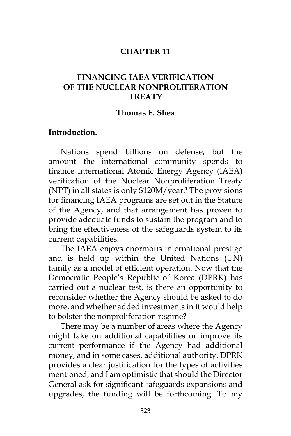### **CHAPTER 11**

## **FINANCING IAEA VERIFICATION OF THE NUCLEAR NONPROLIFERATION TREATY**

#### **Thomas E. Shea**

### **Introduction.**

Nations spend billions on defense, but the amount the international community spends to finance International Atomic Energy Agency (IAEA) verification of the Nuclear Nonproliferation Treaty  $(NPT)$  in all states is only \$120M/year.<sup>1</sup> The provisions for financing IAEA programs are set out in the Statute of the Agency, and that arrangement has proven to provide adequate funds to sustain the program and to bring the effectiveness of the safeguards system to its current capabilities.

The IAEA enjoys enormous international prestige and is held up within the United Nations (UN) family as a model of efficient operation. Now that the Democratic People's Republic of Korea (DPRK) has carried out a nuclear test, is there an opportunity to reconsider whether the Agency should be asked to do more, and whether added investments in it would help to bolster the nonproliferation regime?

There may be a number of areas where the Agency might take on additional capabilities or improve its current performance if the Agency had additional money, and in some cases, additional authority. DPRK provides a clear justification for the types of activities mentioned, and I am optimistic that should the Director General ask for significant safeguards expansions and upgrades, the funding will be forthcoming. To my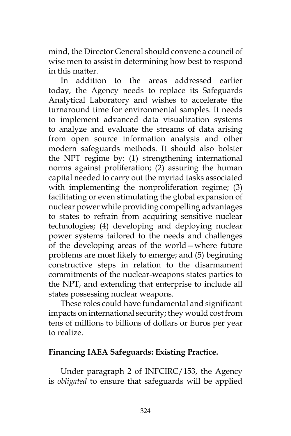mind, the Director General should convene a council of wise men to assist in determining how best to respond in this matter.

In addition to the areas addressed earlier today, the Agency needs to replace its Safeguards Analytical Laboratory and wishes to accelerate the turnaround time for environmental samples. It needs to implement advanced data visualization systems to analyze and evaluate the streams of data arising from open source information analysis and other modern safeguards methods. It should also bolster the NPT regime by: (1) strengthening international norms against proliferation; (2) assuring the human capital needed to carry out the myriad tasks associated with implementing the nonproliferation regime; (3) facilitating or even stimulating the global expansion of nuclear power while providing compelling advantages to states to refrain from acquiring sensitive nuclear technologies; (4) developing and deploying nuclear power systems tailored to the needs and challenges of the developing areas of the world—where future problems are most likely to emerge; and (5) beginning constructive steps in relation to the disarmament commitments of the nuclear-weapons states parties to the NPT, and extending that enterprise to include all states possessing nuclear weapons.

These roles could have fundamental and significant impacts on international security; they would cost from tens of millions to billions of dollars or Euros per year to realize.

### **Financing IAEA Safeguards: Existing Practice.**

Under paragraph 2 of INFCIRC/153, the Agency is *obligated* to ensure that safeguards will be applied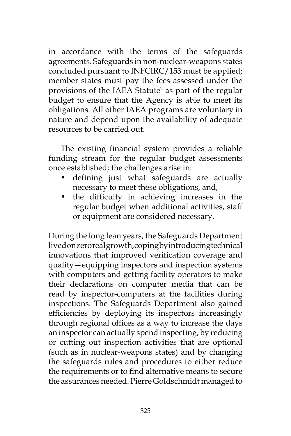in accordance with the terms of the safeguards agreements. Safeguards in non-nuclear-weapons states concluded pursuant to INFCIRC/153 must be applied; member states must pay the fees assessed under the provisions of the IAEA Statute<sup>2</sup> as part of the regular budget to ensure that the Agency is able to meet its obligations. All other IAEA programs are voluntary in nature and depend upon the availability of adequate resources to be carried out.

The existing financial system provides a reliable funding stream for the regular budget assessments once established; the challenges arise in:

- defining just what safeguards are actually necessary to meet these obligations, and,
- the difficulty in achieving increases in the regular budget when additional activities, staff or equipment are considered necessary.

During the long lean years, the Safeguards Department lived on zero real growth, coping by introducing technical innovations that improved verification coverage and quality—equipping inspectors and inspection systems with computers and getting facility operators to make their declarations on computer media that can be read by inspector-computers at the facilities during inspections. The Safeguards Department also gained efficiencies by deploying its inspectors increasingly through regional offices as a way to increase the days an inspector can actually spend inspecting, by reducing or cutting out inspection activities that are optional (such as in nuclear-weapons states) and by changing the safeguards rules and procedures to either reduce the requirements or to find alternative means to secure the assurances needed. Pierre Goldschmidt managed to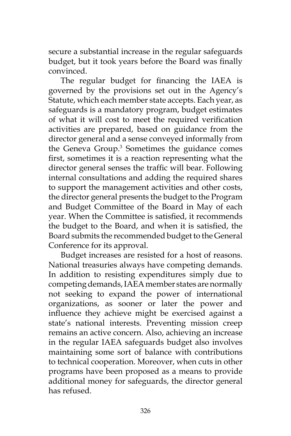secure a substantial increase in the regular safeguards budget, but it took years before the Board was finally convinced.

The regular budget for financing the IAEA is governed by the provisions set out in the Agency's Statute, which each member state accepts. Each year, as safeguards is a mandatory program, budget estimates of what it will cost to meet the required verification activities are prepared, based on guidance from the director general and a sense conveyed informally from the Geneva Group.3 Sometimes the guidance comes first, sometimes it is a reaction representing what the director general senses the traffic will bear. Following internal consultations and adding the required shares to support the management activities and other costs, the director general presents the budget to the Program and Budget Committee of the Board in May of each year. When the Committee is satisfied, it recommends the budget to the Board, and when it is satisfied, the Board submits the recommended budget to the General Conference for its approval.

Budget increases are resisted for a host of reasons. National treasuries always have competing demands. In addition to resisting expenditures simply due to competing demands, IAEA member states are normally not seeking to expand the power of international organizations, as sooner or later the power and influence they achieve might be exercised against a state's national interests. Preventing mission creep remains an active concern. Also, achieving an increase in the regular IAEA safeguards budget also involves maintaining some sort of balance with contributions to technical cooperation. Moreover, when cuts in other programs have been proposed as a means to provide additional money for safeguards, the director general has refused.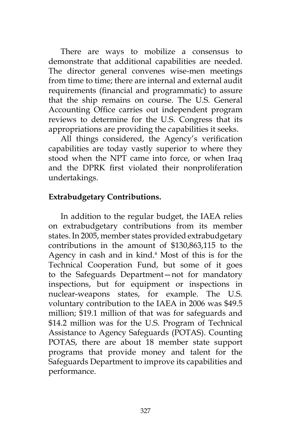There are ways to mobilize a consensus to demonstrate that additional capabilities are needed. The director general convenes wise-men meetings from time to time; there are internal and external audit requirements (financial and programmatic) to assure that the ship remains on course. The U.S. General Accounting Office carries out independent program reviews to determine for the U.S. Congress that its appropriations are providing the capabilities it seeks.

All things considered, the Agency's verification capabilities are today vastly superior to where they stood when the NPT came into force, or when Iraq and the DPRK first violated their nonproliferation undertakings.

# **Extrabudgetary Contributions.**

In addition to the regular budget, the IAEA relies on extrabudgetary contributions from its member states. In 2005, member states provided extrabudgetary contributions in the amount of \$130,863,115 to the Agency in cash and in kind.<sup>4</sup> Most of this is for the Technical Cooperation Fund, but some of it goes to the Safeguards Department—not for mandatory inspections, but for equipment or inspections in nuclear-weapons states, for example. The U.S. voluntary contribution to the IAEA in 2006 was \$49.5 million; \$19.1 million of that was for safeguards and \$14.2 million was for the U.S. Program of Technical Assistance to Agency Safeguards (POTAS). Counting POTAS, there are about 18 member state support programs that provide money and talent for the Safeguards Department to improve its capabilities and performance.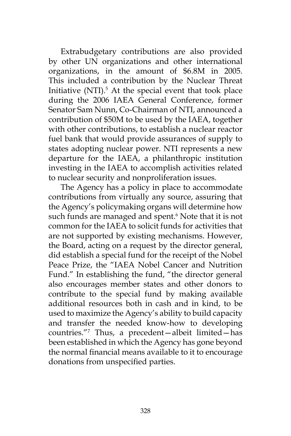Extrabudgetary contributions are also provided by other UN organizations and other international organizations, in the amount of \$6.8M in 2005. This included a contribution by the Nuclear Threat Initiative (NTI).<sup>5</sup> At the special event that took place during the 2006 IAEA General Conference, former Senator Sam Nunn, Co-Chairman of NTI, announced a contribution of \$50M to be used by the IAEA, together with other contributions, to establish a nuclear reactor fuel bank that would provide assurances of supply to states adopting nuclear power. NTI represents a new departure for the IAEA, a philanthropic institution investing in the IAEA to accomplish activities related to nuclear security and nonproliferation issues.

The Agency has a policy in place to accommodate contributions from virtually any source, assuring that the Agency's policymaking organs will determine how such funds are managed and spent.<sup>6</sup> Note that it is not common for the IAEA to solicit funds for activities that are not supported by existing mechanisms. However, the Board, acting on a request by the director general, did establish a special fund for the receipt of the Nobel Peace Prize, the "IAEA Nobel Cancer and Nutrition Fund." In establishing the fund, "the director general also encourages member states and other donors to contribute to the special fund by making available additional resources both in cash and in kind, to be used to maximize the Agency's ability to build capacity and transfer the needed know-how to developing countries."7 Thus, a precedent—albeit limited—has been established in which the Agency has gone beyond the normal financial means available to it to encourage donations from unspecified parties.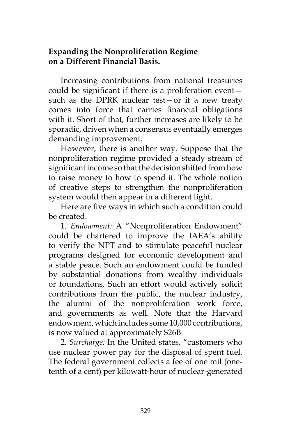# **Expanding the Nonproliferation Regime on a Different Financial Basis.**

Increasing contributions from national treasuries could be significant if there is a proliferation event such as the DPRK nuclear test—or if a new treaty comes into force that carries financial obligations with it. Short of that, further increases are likely to be sporadic, driven when a consensus eventually emerges demanding improvement.

However, there is another way. Suppose that the nonproliferation regime provided a steady stream of significant income so that the decision shifted from how to raise money to how to spend it. The whole notion of creative steps to strengthen the nonproliferation system would then appear in a different light.

Here are five ways in which such a condition could be created.

1. *Endowment:* A "Nonproliferation Endowment" could be chartered to improve the IAEA's ability to verify the NPT and to stimulate peaceful nuclear programs designed for economic development and a stable peace. Such an endowment could be funded by substantial donations from wealthy individuals or foundations. Such an effort would actively solicit contributions from the public, the nuclear industry, the alumni of the nonproliferation work force, and governments as well. Note that the Harvard endowment, which includes some 10,000 contributions, is now valued at approximately \$26B.

2. *Surcharge:* In the United states, "customers who use nuclear power pay for the disposal of spent fuel. The federal government collects a fee of one mil (onetenth of a cent) per kilowatt-hour of nuclear-generated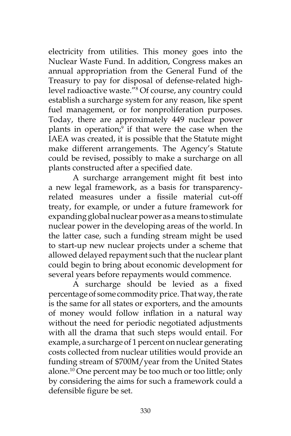electricity from utilities. This money goes into the Nuclear Waste Fund. In addition, Congress makes an annual appropriation from the General Fund of the Treasury to pay for disposal of defense-related highlevel radioactive waste."8 Of course, any country could establish a surcharge system for any reason, like spent fuel management, or for nonproliferation purposes. Today, there are approximately 449 nuclear power plants in operation;<sup>9</sup> if that were the case when the IAEA was created, it is possible that the Statute might make different arrangements. The Agency's Statute could be revised, possibly to make a surcharge on all plants constructed after a specified date.

A surcharge arrangement might fit best into a new legal framework, as a basis for transparencyrelated measures under a fissile material cut-off treaty, for example, or under a future framework for expanding global nuclear power as a means to stimulate nuclear power in the developing areas of the world. In the latter case, such a funding stream might be used to start-up new nuclear projects under a scheme that allowed delayed repayment such that the nuclear plant could begin to bring about economic development for several years before repayments would commence.

A surcharge should be levied as a fixed percentage of some commodity price. That way, the rate is the same for all states or exporters, and the amounts of money would follow inflation in a natural way without the need for periodic negotiated adjustments with all the drama that such steps would entail. For example, a surcharge of 1 percent on nuclear generating costs collected from nuclear utilities would provide an funding stream of \$700M/year from the United States alone.10 One percent may be too much or too little; only by considering the aims for such a framework could a defensible figure be set.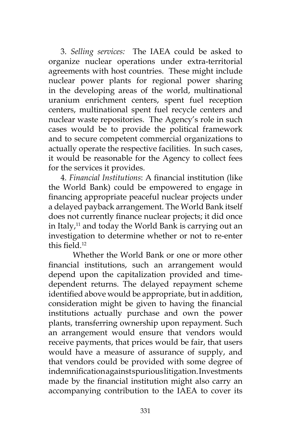3. *Selling services:* The IAEA could be asked to organize nuclear operations under extra-territorial agreements with host countries. These might include nuclear power plants for regional power sharing in the developing areas of the world, multinational uranium enrichment centers, spent fuel reception centers, multinational spent fuel recycle centers and nuclear waste repositories. The Agency's role in such cases would be to provide the political framework and to secure competent commercial organizations to actually operate the respective facilities. In such cases, it would be reasonable for the Agency to collect fees for the services it provides.

4. *Financial Institutions*: A financial institution (like the World Bank) could be empowered to engage in financing appropriate peaceful nuclear projects under a delayed payback arrangement. The World Bank itself does not currently finance nuclear projects; it did once in Italy, $11$  and today the World Bank is carrying out an investigation to determine whether or not to re-enter this field.<sup>12</sup>

 Whether the World Bank or one or more other financial institutions, such an arrangement would depend upon the capitalization provided and timedependent returns. The delayed repayment scheme identified above would be appropriate, but in addition, consideration might be given to having the financial institutions actually purchase and own the power plants, transferring ownership upon repayment. Such an arrangement would ensure that vendors would receive payments, that prices would be fair, that users would have a measure of assurance of supply, and that vendors could be provided with some degree of indemnification against spurious litigation. Investments made by the financial institution might also carry an accompanying contribution to the IAEA to cover its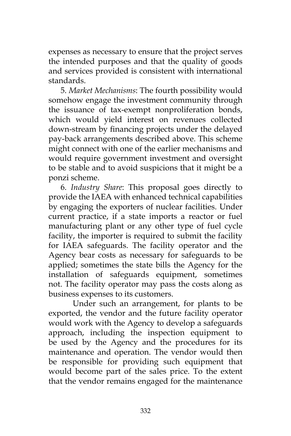expenses as necessary to ensure that the project serves the intended purposes and that the quality of goods and services provided is consistent with international standards.

5. *Market Mechanisms*: The fourth possibility would somehow engage the investment community through the issuance of tax-exempt nonproliferation bonds, which would yield interest on revenues collected down-stream by financing projects under the delayed pay-back arrangements described above. This scheme might connect with one of the earlier mechanisms and would require government investment and oversight to be stable and to avoid suspicions that it might be a ponzi scheme.

6. *Industry Share*: This proposal goes directly to provide the IAEA with enhanced technical capabilities by engaging the exporters of nuclear facilities. Under current practice, if a state imports a reactor or fuel manufacturing plant or any other type of fuel cycle facility, the importer is required to submit the facility for IAEA safeguards. The facility operator and the Agency bear costs as necessary for safeguards to be applied; sometimes the state bills the Agency for the installation of safeguards equipment, sometimes not. The facility operator may pass the costs along as business expenses to its customers.

 Under such an arrangement, for plants to be exported, the vendor and the future facility operator would work with the Agency to develop a safeguards approach, including the inspection equipment to be used by the Agency and the procedures for its maintenance and operation. The vendor would then be responsible for providing such equipment that would become part of the sales price. To the extent that the vendor remains engaged for the maintenance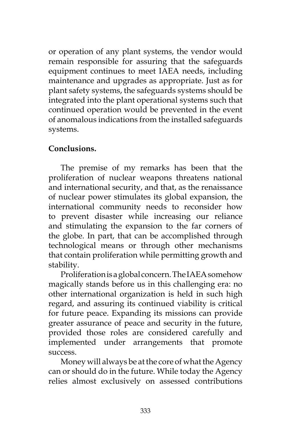or operation of any plant systems, the vendor would remain responsible for assuring that the safeguards equipment continues to meet IAEA needs, including maintenance and upgrades as appropriate. Just as for plant safety systems, the safeguards systems should be integrated into the plant operational systems such that continued operation would be prevented in the event of anomalous indications from the installed safeguards systems.

# **Conclusions.**

The premise of my remarks has been that the proliferation of nuclear weapons threatens national and international security, and that, as the renaissance of nuclear power stimulates its global expansion, the international community needs to reconsider how to prevent disaster while increasing our reliance and stimulating the expansion to the far corners of the globe. In part, that can be accomplished through technological means or through other mechanisms that contain proliferation while permitting growth and stability.

Proliferation is a global concern. The IAEA somehow magically stands before us in this challenging era: no other international organization is held in such high regard, and assuring its continued viability is critical for future peace. Expanding its missions can provide greater assurance of peace and security in the future, provided those roles are considered carefully and implemented under arrangements that promote success.

Money will always be at the core of what the Agency can or should do in the future. While today the Agency relies almost exclusively on assessed contributions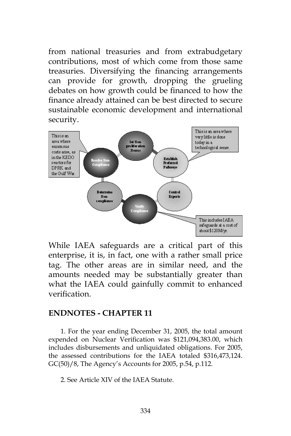from national treasuries and from extrabudgetary contributions, most of which come from those same treasuries. Diversifying the financing arrangements can provide for growth, dropping the grueling debates on how growth could be financed to how the finance already attained can be best directed to secure sustainable economic development and international security.



While IAEA safeguards are a critical part of this enterprise, it is, in fact, one with a rather small price tag. The other areas are in similar need, and the amounts needed may be substantially greater than what the IAEA could gainfully commit to enhanced verification.

#### **ENDNOTES - CHAPTER 11**

1. For the year ending December 31, 2005, the total amount expended on Nuclear Verification was \$121,094,383.00, which includes disbursements and unliquidated obligations. For 2005, the assessed contributions for the IAEA totaled \$316,473,124. GC(50)/8, The Agency's Accounts for 2005, p.54, p.112.

2. See Article XIV of the IAEA Statute.